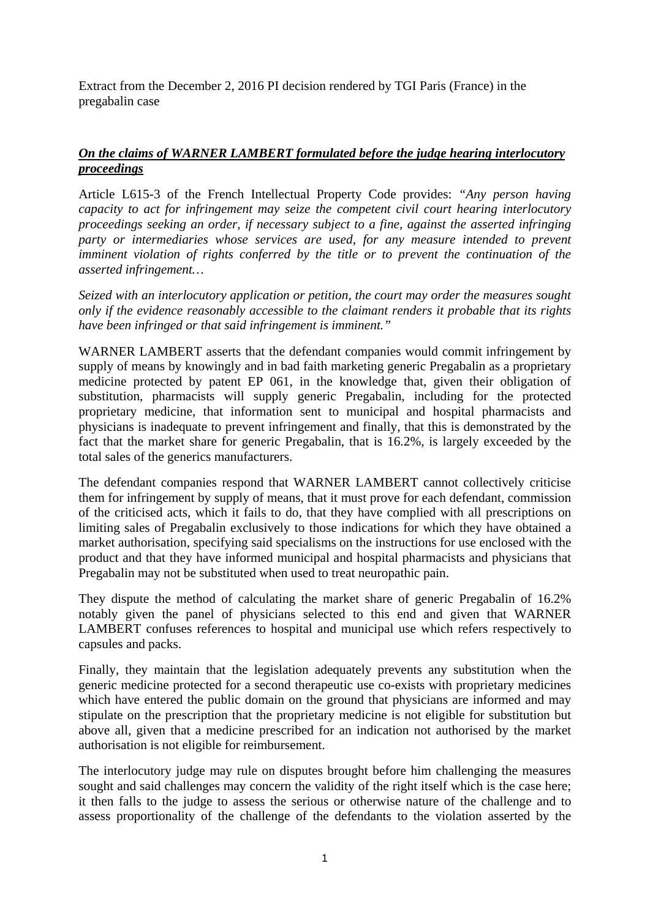Extract from the December 2, 2016 PI decision rendered by TGI Paris (France) in the pregabalin case

# *On the claims of WARNER LAMBERT formulated before the judge hearing interlocutory proceedings*

Article L615-3 of the French Intellectual Property Code provides: *"Any person having capacity to act for infringement may seize the competent civil court hearing interlocutory proceedings seeking an order, if necessary subject to a fine, against the asserted infringing party or intermediaries whose services are used, for any measure intended to prevent imminent violation of rights conferred by the title or to prevent the continuation of the asserted infringement…* 

*Seized with an interlocutory application or petition, the court may order the measures sought only if the evidence reasonably accessible to the claimant renders it probable that its rights have been infringed or that said infringement is imminent."* 

WARNER LAMBERT asserts that the defendant companies would commit infringement by supply of means by knowingly and in bad faith marketing generic Pregabalin as a proprietary medicine protected by patent EP 061, in the knowledge that, given their obligation of substitution, pharmacists will supply generic Pregabalin, including for the protected proprietary medicine, that information sent to municipal and hospital pharmacists and physicians is inadequate to prevent infringement and finally, that this is demonstrated by the fact that the market share for generic Pregabalin, that is 16.2%, is largely exceeded by the total sales of the generics manufacturers.

The defendant companies respond that WARNER LAMBERT cannot collectively criticise them for infringement by supply of means, that it must prove for each defendant, commission of the criticised acts, which it fails to do, that they have complied with all prescriptions on limiting sales of Pregabalin exclusively to those indications for which they have obtained a market authorisation, specifying said specialisms on the instructions for use enclosed with the product and that they have informed municipal and hospital pharmacists and physicians that Pregabalin may not be substituted when used to treat neuropathic pain.

They dispute the method of calculating the market share of generic Pregabalin of 16.2% notably given the panel of physicians selected to this end and given that WARNER LAMBERT confuses references to hospital and municipal use which refers respectively to capsules and packs.

Finally, they maintain that the legislation adequately prevents any substitution when the generic medicine protected for a second therapeutic use co-exists with proprietary medicines which have entered the public domain on the ground that physicians are informed and may stipulate on the prescription that the proprietary medicine is not eligible for substitution but above all, given that a medicine prescribed for an indication not authorised by the market authorisation is not eligible for reimbursement.

The interlocutory judge may rule on disputes brought before him challenging the measures sought and said challenges may concern the validity of the right itself which is the case here; it then falls to the judge to assess the serious or otherwise nature of the challenge and to assess proportionality of the challenge of the defendants to the violation asserted by the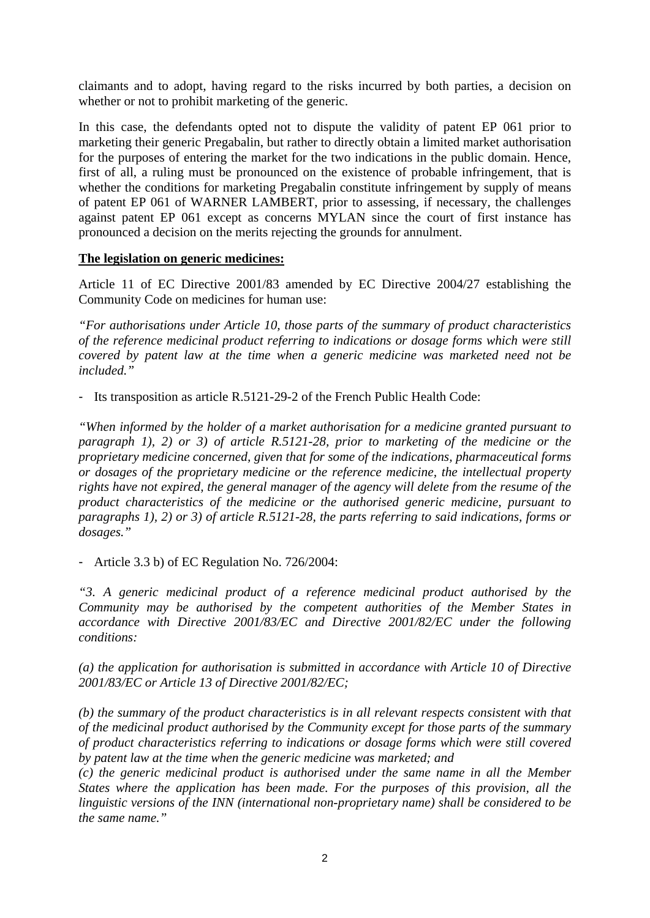claimants and to adopt, having regard to the risks incurred by both parties, a decision on whether or not to prohibit marketing of the generic.

In this case, the defendants opted not to dispute the validity of patent EP 061 prior to marketing their generic Pregabalin, but rather to directly obtain a limited market authorisation for the purposes of entering the market for the two indications in the public domain. Hence, first of all, a ruling must be pronounced on the existence of probable infringement, that is whether the conditions for marketing Pregabalin constitute infringement by supply of means of patent EP 061 of WARNER LAMBERT, prior to assessing, if necessary, the challenges against patent EP 061 except as concerns MYLAN since the court of first instance has pronounced a decision on the merits rejecting the grounds for annulment.

## **The legislation on generic medicines:**

Article 11 of EC Directive 2001/83 amended by EC Directive 2004/27 establishing the Community Code on medicines for human use:

*"For authorisations under Article 10, those parts of the summary of product characteristics of the reference medicinal product referring to indications or dosage forms which were still covered by patent law at the time when a generic medicine was marketed need not be included."* 

- Its transposition as article R.5121-29-2 of the French Public Health Code:

*"When informed by the holder of a market authorisation for a medicine granted pursuant to paragraph 1), 2) or 3) of article R.5121-28, prior to marketing of the medicine or the proprietary medicine concerned, given that for some of the indications, pharmaceutical forms or dosages of the proprietary medicine or the reference medicine, the intellectual property rights have not expired, the general manager of the agency will delete from the resume of the product characteristics of the medicine or the authorised generic medicine, pursuant to paragraphs 1), 2) or 3) of article R.5121-28, the parts referring to said indications, forms or dosages."* 

- Article 3.3 b) of EC Regulation No. 726/2004:

*"3. A generic medicinal product of a reference medicinal product authorised by the Community may be authorised by the competent authorities of the Member States in accordance with Directive 2001/83/EC and Directive 2001/82/EC under the following conditions:* 

*(a) the application for authorisation is submitted in accordance with Article 10 of Directive 2001/83/EC or Article 13 of Directive 2001/82/EC;* 

*(b) the summary of the product characteristics is in all relevant respects consistent with that of the medicinal product authorised by the Community except for those parts of the summary of product characteristics referring to indications or dosage forms which were still covered by patent law at the time when the generic medicine was marketed; and* 

*(c) the generic medicinal product is authorised under the same name in all the Member States where the application has been made. For the purposes of this provision, all the linguistic versions of the INN (international non-proprietary name) shall be considered to be the same name."*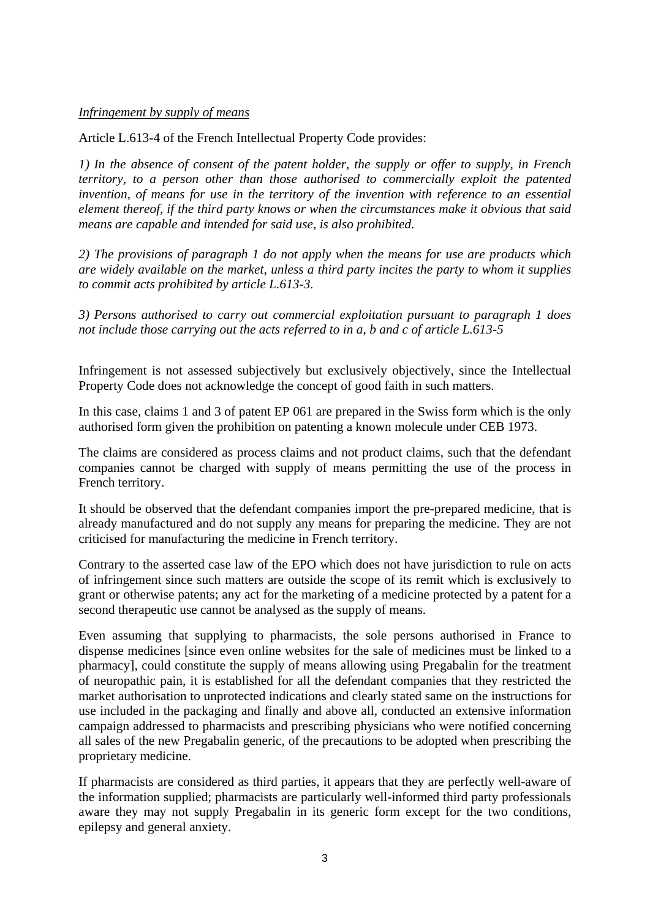## *Infringement by supply of means*

Article L.613-4 of the French Intellectual Property Code provides:

*1) In the absence of consent of the patent holder, the supply or offer to supply, in French territory, to a person other than those authorised to commercially exploit the patented invention, of means for use in the territory of the invention with reference to an essential element thereof, if the third party knows or when the circumstances make it obvious that said means are capable and intended for said use, is also prohibited.* 

*2) The provisions of paragraph 1 do not apply when the means for use are products which are widely available on the market, unless a third party incites the party to whom it supplies to commit acts prohibited by article L.613-3.* 

*3) Persons authorised to carry out commercial exploitation pursuant to paragraph 1 does not include those carrying out the acts referred to in a, b and c of article L.613-5* 

Infringement is not assessed subjectively but exclusively objectively, since the Intellectual Property Code does not acknowledge the concept of good faith in such matters.

In this case, claims 1 and 3 of patent EP 061 are prepared in the Swiss form which is the only authorised form given the prohibition on patenting a known molecule under CEB 1973.

The claims are considered as process claims and not product claims, such that the defendant companies cannot be charged with supply of means permitting the use of the process in French territory.

It should be observed that the defendant companies import the pre-prepared medicine, that is already manufactured and do not supply any means for preparing the medicine. They are not criticised for manufacturing the medicine in French territory.

Contrary to the asserted case law of the EPO which does not have jurisdiction to rule on acts of infringement since such matters are outside the scope of its remit which is exclusively to grant or otherwise patents; any act for the marketing of a medicine protected by a patent for a second therapeutic use cannot be analysed as the supply of means.

Even assuming that supplying to pharmacists, the sole persons authorised in France to dispense medicines [since even online websites for the sale of medicines must be linked to a pharmacy], could constitute the supply of means allowing using Pregabalin for the treatment of neuropathic pain, it is established for all the defendant companies that they restricted the market authorisation to unprotected indications and clearly stated same on the instructions for use included in the packaging and finally and above all, conducted an extensive information campaign addressed to pharmacists and prescribing physicians who were notified concerning all sales of the new Pregabalin generic, of the precautions to be adopted when prescribing the proprietary medicine.

If pharmacists are considered as third parties, it appears that they are perfectly well-aware of the information supplied; pharmacists are particularly well-informed third party professionals aware they may not supply Pregabalin in its generic form except for the two conditions, epilepsy and general anxiety.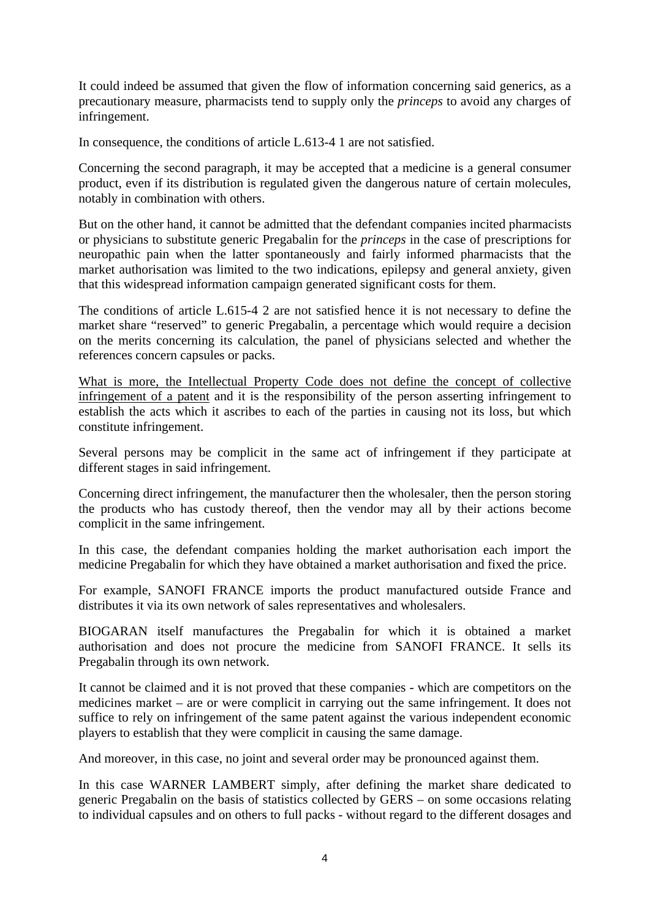It could indeed be assumed that given the flow of information concerning said generics, as a precautionary measure, pharmacists tend to supply only the *princeps* to avoid any charges of infringement.

In consequence, the conditions of article L.613-4 1 are not satisfied.

Concerning the second paragraph, it may be accepted that a medicine is a general consumer product, even if its distribution is regulated given the dangerous nature of certain molecules, notably in combination with others.

But on the other hand, it cannot be admitted that the defendant companies incited pharmacists or physicians to substitute generic Pregabalin for the *princeps* in the case of prescriptions for neuropathic pain when the latter spontaneously and fairly informed pharmacists that the market authorisation was limited to the two indications, epilepsy and general anxiety, given that this widespread information campaign generated significant costs for them.

The conditions of article L.615-4 2 are not satisfied hence it is not necessary to define the market share "reserved" to generic Pregabalin, a percentage which would require a decision on the merits concerning its calculation, the panel of physicians selected and whether the references concern capsules or packs.

What is more, the Intellectual Property Code does not define the concept of collective infringement of a patent and it is the responsibility of the person asserting infringement to establish the acts which it ascribes to each of the parties in causing not its loss, but which constitute infringement.

Several persons may be complicit in the same act of infringement if they participate at different stages in said infringement.

Concerning direct infringement, the manufacturer then the wholesaler, then the person storing the products who has custody thereof, then the vendor may all by their actions become complicit in the same infringement.

In this case, the defendant companies holding the market authorisation each import the medicine Pregabalin for which they have obtained a market authorisation and fixed the price.

For example, SANOFI FRANCE imports the product manufactured outside France and distributes it via its own network of sales representatives and wholesalers.

BIOGARAN itself manufactures the Pregabalin for which it is obtained a market authorisation and does not procure the medicine from SANOFI FRANCE. It sells its Pregabalin through its own network.

It cannot be claimed and it is not proved that these companies - which are competitors on the medicines market – are or were complicit in carrying out the same infringement. It does not suffice to rely on infringement of the same patent against the various independent economic players to establish that they were complicit in causing the same damage.

And moreover, in this case, no joint and several order may be pronounced against them.

In this case WARNER LAMBERT simply, after defining the market share dedicated to generic Pregabalin on the basis of statistics collected by GERS – on some occasions relating to individual capsules and on others to full packs - without regard to the different dosages and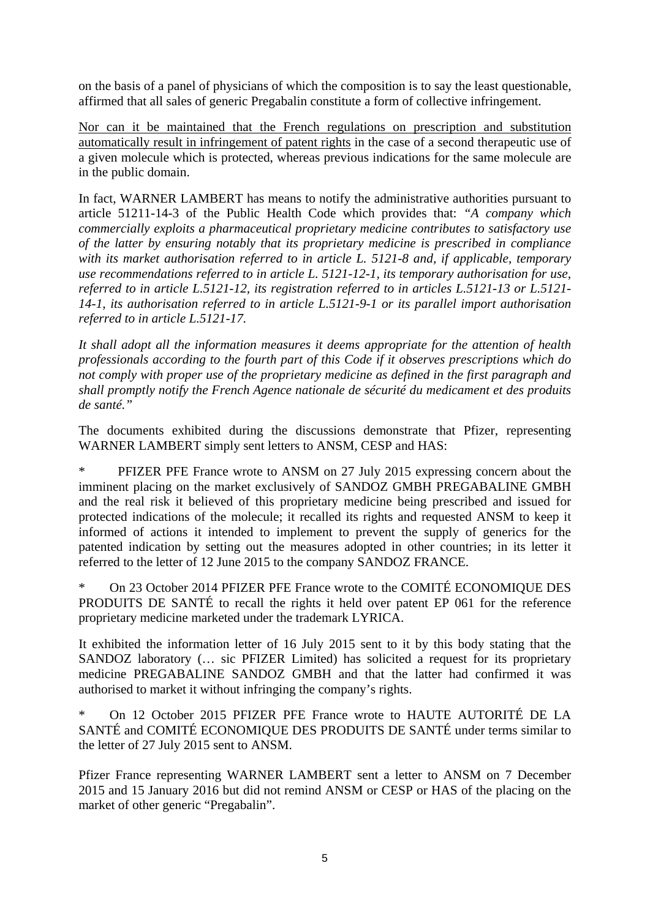on the basis of a panel of physicians of which the composition is to say the least questionable, affirmed that all sales of generic Pregabalin constitute a form of collective infringement.

Nor can it be maintained that the French regulations on prescription and substitution automatically result in infringement of patent rights in the case of a second therapeutic use of a given molecule which is protected, whereas previous indications for the same molecule are in the public domain.

In fact, WARNER LAMBERT has means to notify the administrative authorities pursuant to article 51211-14-3 of the Public Health Code which provides that: *"A company which commercially exploits a pharmaceutical proprietary medicine contributes to satisfactory use of the latter by ensuring notably that its proprietary medicine is prescribed in compliance with its market authorisation referred to in article L. 5121-8 and, if applicable, temporary use recommendations referred to in article L. 5121-12-1, its temporary authorisation for use, referred to in article L.5121-12, its registration referred to in articles L.5121-13 or L.5121- 14-1, its authorisation referred to in article L.5121-9-1 or its parallel import authorisation referred to in article L.5121-17.* 

*It shall adopt all the information measures it deems appropriate for the attention of health professionals according to the fourth part of this Code if it observes prescriptions which do not comply with proper use of the proprietary medicine as defined in the first paragraph and shall promptly notify the French Agence nationale de sécurité du medicament et des produits de santé."* 

The documents exhibited during the discussions demonstrate that Pfizer, representing WARNER LAMBERT simply sent letters to ANSM, CESP and HAS:

\* PFIZER PFE France wrote to ANSM on 27 July 2015 expressing concern about the imminent placing on the market exclusively of SANDOZ GMBH PREGABALINE GMBH and the real risk it believed of this proprietary medicine being prescribed and issued for protected indications of the molecule; it recalled its rights and requested ANSM to keep it informed of actions it intended to implement to prevent the supply of generics for the patented indication by setting out the measures adopted in other countries; in its letter it referred to the letter of 12 June 2015 to the company SANDOZ FRANCE.

\* On 23 October 2014 PFIZER PFE France wrote to the COMITÉ ECONOMIQUE DES PRODUITS DE SANTÉ to recall the rights it held over patent EP 061 for the reference proprietary medicine marketed under the trademark LYRICA.

It exhibited the information letter of 16 July 2015 sent to it by this body stating that the SANDOZ laboratory (… sic PFIZER Limited) has solicited a request for its proprietary medicine PREGABALINE SANDOZ GMBH and that the latter had confirmed it was authorised to market it without infringing the company's rights.

On 12 October 2015 PFIZER PFE France wrote to HAUTE AUTORITÉ DE LA SANTÉ and COMITÉ ECONOMIQUE DES PRODUITS DE SANTÉ under terms similar to the letter of 27 July 2015 sent to ANSM.

Pfizer France representing WARNER LAMBERT sent a letter to ANSM on 7 December 2015 and 15 January 2016 but did not remind ANSM or CESP or HAS of the placing on the market of other generic "Pregabalin".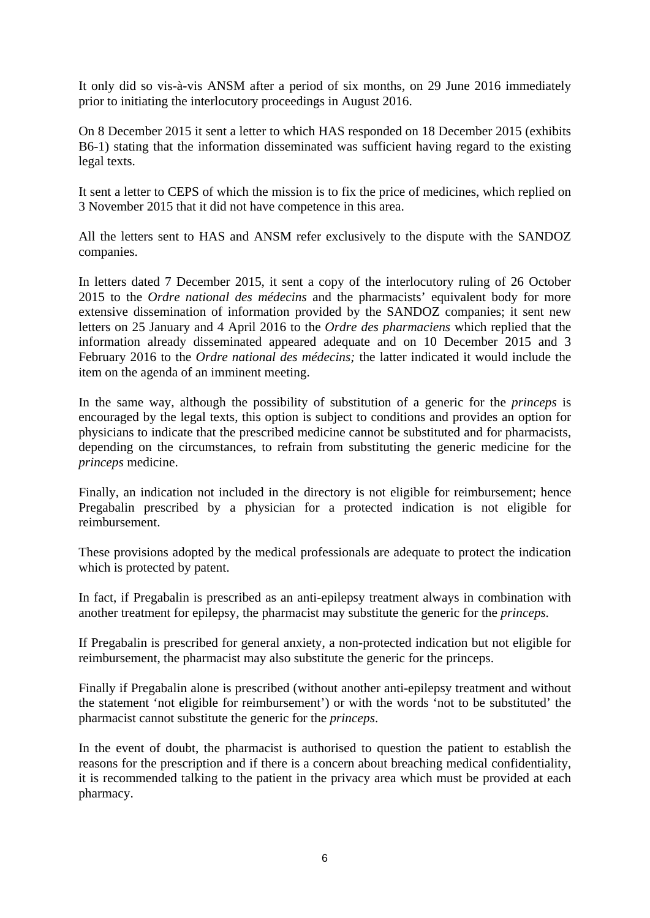It only did so vis-à-vis ANSM after a period of six months, on 29 June 2016 immediately prior to initiating the interlocutory proceedings in August 2016.

On 8 December 2015 it sent a letter to which HAS responded on 18 December 2015 (exhibits B6-1) stating that the information disseminated was sufficient having regard to the existing legal texts.

It sent a letter to CEPS of which the mission is to fix the price of medicines, which replied on 3 November 2015 that it did not have competence in this area.

All the letters sent to HAS and ANSM refer exclusively to the dispute with the SANDOZ companies.

In letters dated 7 December 2015, it sent a copy of the interlocutory ruling of 26 October 2015 to the *Ordre national des médecins* and the pharmacists' equivalent body for more extensive dissemination of information provided by the SANDOZ companies; it sent new letters on 25 January and 4 April 2016 to the *Ordre des pharmaciens* which replied that the information already disseminated appeared adequate and on 10 December 2015 and 3 February 2016 to the *Ordre national des médecins;* the latter indicated it would include the item on the agenda of an imminent meeting.

In the same way, although the possibility of substitution of a generic for the *princeps* is encouraged by the legal texts, this option is subject to conditions and provides an option for physicians to indicate that the prescribed medicine cannot be substituted and for pharmacists, depending on the circumstances, to refrain from substituting the generic medicine for the *princeps* medicine.

Finally, an indication not included in the directory is not eligible for reimbursement; hence Pregabalin prescribed by a physician for a protected indication is not eligible for reimbursement.

These provisions adopted by the medical professionals are adequate to protect the indication which is protected by patent.

In fact, if Pregabalin is prescribed as an anti-epilepsy treatment always in combination with another treatment for epilepsy, the pharmacist may substitute the generic for the *princeps.*

If Pregabalin is prescribed for general anxiety, a non-protected indication but not eligible for reimbursement, the pharmacist may also substitute the generic for the princeps.

Finally if Pregabalin alone is prescribed (without another anti-epilepsy treatment and without the statement 'not eligible for reimbursement') or with the words 'not to be substituted' the pharmacist cannot substitute the generic for the *princeps*.

In the event of doubt, the pharmacist is authorised to question the patient to establish the reasons for the prescription and if there is a concern about breaching medical confidentiality, it is recommended talking to the patient in the privacy area which must be provided at each pharmacy.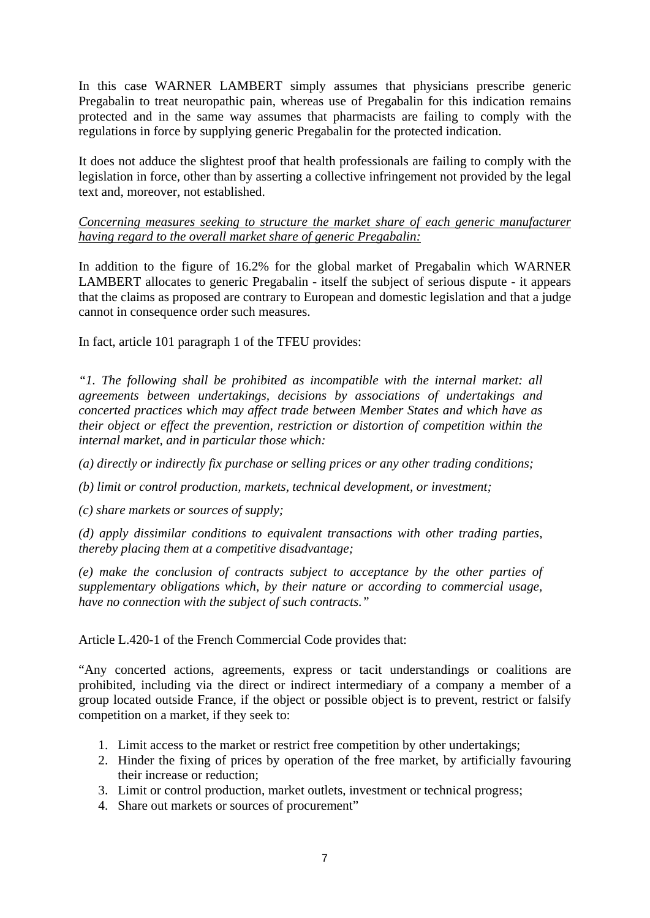In this case WARNER LAMBERT simply assumes that physicians prescribe generic Pregabalin to treat neuropathic pain, whereas use of Pregabalin for this indication remains protected and in the same way assumes that pharmacists are failing to comply with the regulations in force by supplying generic Pregabalin for the protected indication.

It does not adduce the slightest proof that health professionals are failing to comply with the legislation in force, other than by asserting a collective infringement not provided by the legal text and, moreover, not established.

*Concerning measures seeking to structure the market share of each generic manufacturer having regard to the overall market share of generic Pregabalin:* 

In addition to the figure of 16.2% for the global market of Pregabalin which WARNER LAMBERT allocates to generic Pregabalin - itself the subject of serious dispute - it appears that the claims as proposed are contrary to European and domestic legislation and that a judge cannot in consequence order such measures.

In fact, article 101 paragraph 1 of the TFEU provides:

*"1. The following shall be prohibited as incompatible with the internal market: all agreements between undertakings, decisions by associations of undertakings and concerted practices which may affect trade between Member States and which have as their object or effect the prevention, restriction or distortion of competition within the internal market, and in particular those which:* 

*(a) directly or indirectly fix purchase or selling prices or any other trading conditions;* 

*(b) limit or control production, markets, technical development, or investment;* 

*(c) share markets or sources of supply;* 

*(d) apply dissimilar conditions to equivalent transactions with other trading parties, thereby placing them at a competitive disadvantage;* 

*(e) make the conclusion of contracts subject to acceptance by the other parties of supplementary obligations which, by their nature or according to commercial usage, have no connection with the subject of such contracts."* 

Article L.420-1 of the French Commercial Code provides that:

"Any concerted actions, agreements, express or tacit understandings or coalitions are prohibited, including via the direct or indirect intermediary of a company a member of a group located outside France, if the object or possible object is to prevent, restrict or falsify competition on a market, if they seek to:

- 1. Limit access to the market or restrict free competition by other undertakings;
- 2. Hinder the fixing of prices by operation of the free market, by artificially favouring their increase or reduction;
- 3. Limit or control production, market outlets, investment or technical progress;
- 4. Share out markets or sources of procurement"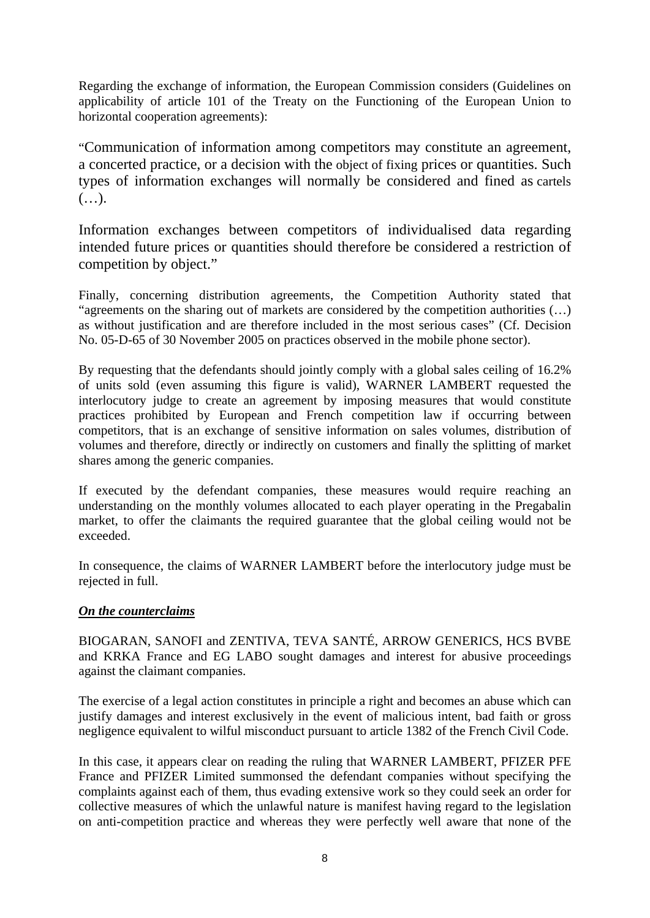Regarding the exchange of information, the European Commission considers (Guidelines on applicability of article 101 of the Treaty on the Functioning of the European Union to horizontal cooperation agreements):

"Communication of information among competitors may constitute an agreement, a concerted practice, or a decision with the object of fixing prices or quantities. Such types of information exchanges will normally be considered and fined as cartels (…).

Information exchanges between competitors of individualised data regarding intended future prices or quantities should therefore be considered a restriction of competition by object."

Finally, concerning distribution agreements, the Competition Authority stated that "agreements on the sharing out of markets are considered by the competition authorities (…) as without justification and are therefore included in the most serious cases" (Cf. Decision No. 05-D-65 of 30 November 2005 on practices observed in the mobile phone sector).

By requesting that the defendants should jointly comply with a global sales ceiling of 16.2% of units sold (even assuming this figure is valid), WARNER LAMBERT requested the interlocutory judge to create an agreement by imposing measures that would constitute practices prohibited by European and French competition law if occurring between competitors, that is an exchange of sensitive information on sales volumes, distribution of volumes and therefore, directly or indirectly on customers and finally the splitting of market shares among the generic companies.

If executed by the defendant companies, these measures would require reaching an understanding on the monthly volumes allocated to each player operating in the Pregabalin market, to offer the claimants the required guarantee that the global ceiling would not be exceeded.

In consequence, the claims of WARNER LAMBERT before the interlocutory judge must be rejected in full.

# *On the counterclaims*

BIOGARAN, SANOFI and ZENTIVA, TEVA SANTÉ, ARROW GENERICS, HCS BVBE and KRKA France and EG LABO sought damages and interest for abusive proceedings against the claimant companies.

The exercise of a legal action constitutes in principle a right and becomes an abuse which can justify damages and interest exclusively in the event of malicious intent, bad faith or gross negligence equivalent to wilful misconduct pursuant to article 1382 of the French Civil Code.

In this case, it appears clear on reading the ruling that WARNER LAMBERT, PFIZER PFE France and PFIZER Limited summonsed the defendant companies without specifying the complaints against each of them, thus evading extensive work so they could seek an order for collective measures of which the unlawful nature is manifest having regard to the legislation on anti-competition practice and whereas they were perfectly well aware that none of the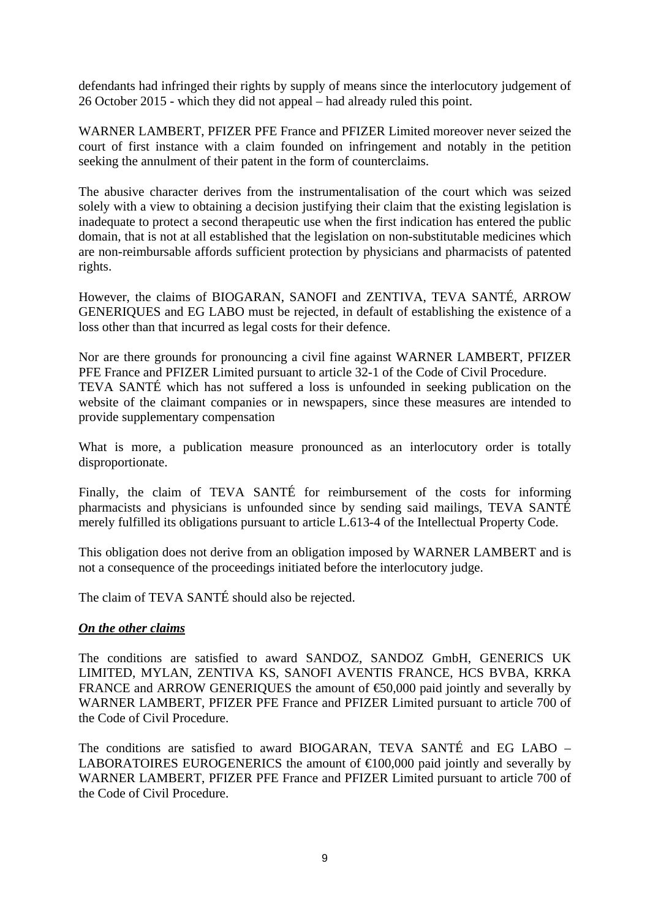defendants had infringed their rights by supply of means since the interlocutory judgement of 26 October 2015 - which they did not appeal – had already ruled this point.

WARNER LAMBERT, PFIZER PFE France and PFIZER Limited moreover never seized the court of first instance with a claim founded on infringement and notably in the petition seeking the annulment of their patent in the form of counterclaims.

The abusive character derives from the instrumentalisation of the court which was seized solely with a view to obtaining a decision justifying their claim that the existing legislation is inadequate to protect a second therapeutic use when the first indication has entered the public domain, that is not at all established that the legislation on non-substitutable medicines which are non-reimbursable affords sufficient protection by physicians and pharmacists of patented rights.

However, the claims of BIOGARAN, SANOFI and ZENTIVA, TEVA SANTÉ, ARROW GENERIQUES and EG LABO must be rejected, in default of establishing the existence of a loss other than that incurred as legal costs for their defence.

Nor are there grounds for pronouncing a civil fine against WARNER LAMBERT, PFIZER PFE France and PFIZER Limited pursuant to article 32-1 of the Code of Civil Procedure. TEVA SANTÉ which has not suffered a loss is unfounded in seeking publication on the website of the claimant companies or in newspapers, since these measures are intended to provide supplementary compensation

What is more, a publication measure pronounced as an interlocutory order is totally disproportionate.

Finally, the claim of TEVA SANTÉ for reimbursement of the costs for informing pharmacists and physicians is unfounded since by sending said mailings, TEVA SANTÉ merely fulfilled its obligations pursuant to article L.613-4 of the Intellectual Property Code.

This obligation does not derive from an obligation imposed by WARNER LAMBERT and is not a consequence of the proceedings initiated before the interlocutory judge.

The claim of TEVA SANTÉ should also be rejected.

# *On the other claims*

The conditions are satisfied to award SANDOZ, SANDOZ GmbH, GENERICS UK LIMITED, MYLAN, ZENTIVA KS, SANOFI AVENTIS FRANCE, HCS BVBA, KRKA FRANCE and ARROW GENERIQUES the amount of  $\epsilon$ 50,000 paid jointly and severally by WARNER LAMBERT, PFIZER PFE France and PFIZER Limited pursuant to article 700 of the Code of Civil Procedure.

The conditions are satisfied to award BIOGARAN, TEVA SANTÉ and EG LABO – LABORATOIRES EUROGENERICS the amount of  $\in 100,000$  paid jointly and severally by WARNER LAMBERT, PFIZER PFE France and PFIZER Limited pursuant to article 700 of the Code of Civil Procedure.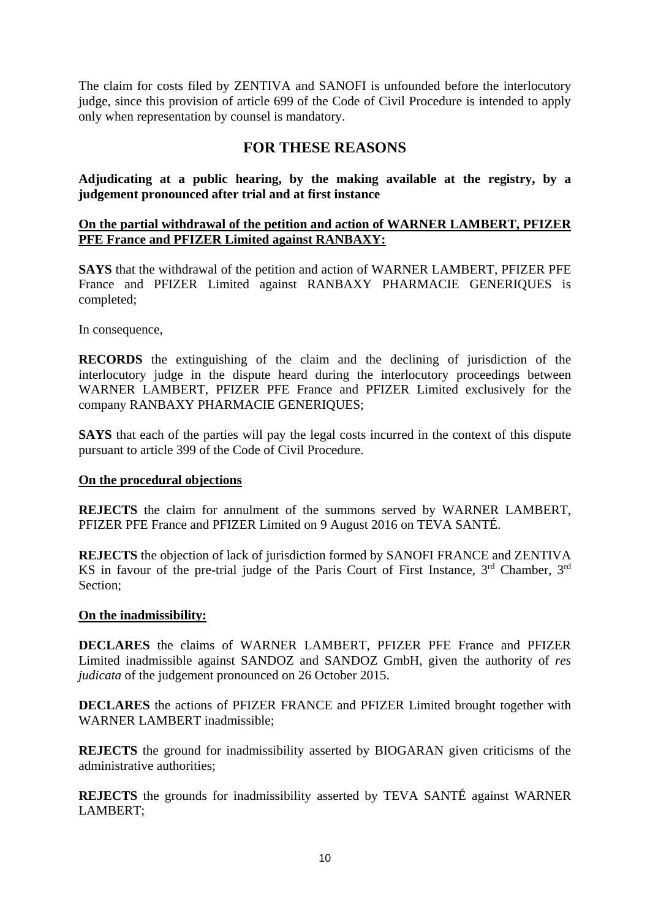The claim for costs filed by ZENTIVA and SANOFI is unfounded before the interlocutory judge, since this provision of article 699 of the Code of Civil Procedure is intended to apply only when representation by counsel is mandatory.

# **FOR THESE REASONS**

**Adjudicating at a public hearing, by the making available at the registry, by a judgement pronounced after trial and at first instance** 

## **On the partial withdrawal of the petition and action of WARNER LAMBERT, PFIZER PFE France and PFIZER Limited against RANBAXY:**

**SAYS** that the withdrawal of the petition and action of WARNER LAMBERT, PFIZER PFE France and PFIZER Limited against RANBAXY PHARMACIE GENERIQUES is completed;

In consequence,

**RECORDS** the extinguishing of the claim and the declining of jurisdiction of the interlocutory judge in the dispute heard during the interlocutory proceedings between WARNER LAMBERT, PFIZER PFE France and PFIZER Limited exclusively for the company RANBAXY PHARMACIE GENERIQUES;

**SAYS** that each of the parties will pay the legal costs incurred in the context of this dispute pursuant to article 399 of the Code of Civil Procedure.

## **On the procedural objections**

**REJECTS** the claim for annulment of the summons served by WARNER LAMBERT, PFIZER PFE France and PFIZER Limited on 9 August 2016 on TEVA SANTÉ.

**REJECTS** the objection of lack of jurisdiction formed by SANOFI FRANCE and ZENTIVA KS in favour of the pre-trial judge of the Paris Court of First Instance, 3<sup>rd</sup> Chamber, 3<sup>rd</sup> Section;

## **On the inadmissibility:**

**DECLARES** the claims of WARNER LAMBERT, PFIZER PFE France and PFIZER Limited inadmissible against SANDOZ and SANDOZ GmbH, given the authority of *res judicata* of the judgement pronounced on 26 October 2015.

**DECLARES** the actions of PFIZER FRANCE and PFIZER Limited brought together with WARNER LAMBERT inadmissible;

**REJECTS** the ground for inadmissibility asserted by BIOGARAN given criticisms of the administrative authorities;

**REJECTS** the grounds for inadmissibility asserted by TEVA SANTÉ against WARNER LAMBERT;